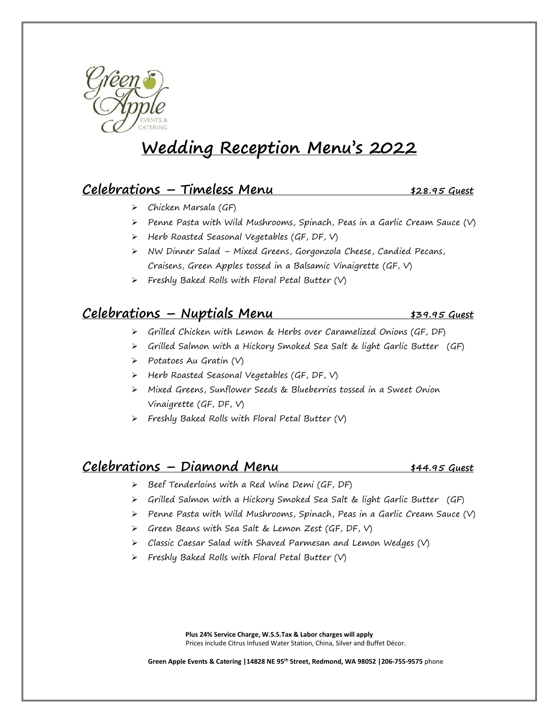

# **Wedding Reception Menu's 2022**

## **Celebrations – Timeless Menu \$28.95 Guest**

- ➢ Chicken Marsala (GF)
- $\triangleright$  Penne Pasta with Wild Mushrooms, Spinach, Peas in a Garlic Cream Sauce (V)
- ➢ Herb Roasted Seasonal Vegetables (GF, DF, V)
- ➢ NW Dinner Salad Mixed Greens, Gorgonzola Cheese, Candied Pecans, Craisens, Green Apples tossed in a Balsamic Vinaigrette (GF, V)
- $\triangleright$  Freshly Baked Rolls with Floral Petal Butter (V)

# **Celebrations – Nuptials Menu \$39.95 Guest**

- ➢ Grilled Chicken with Lemon & Herbs over Caramelized Onions (GF, DF)
- ➢ Grilled Salmon with a Hickory Smoked Sea Salt & light Garlic Butter (GF)
- ➢ Potatoes Au Gratin (V)
- ➢ Herb Roasted Seasonal Vegetables (GF, DF, V)
- ➢ Mixed Greens, Sunflower Seeds & Blueberries tossed in a Sweet Onion Vinaigrette (GF, DF, V)
- $\triangleright$  Freshly Baked Rolls with Floral Petal Butter (V)

#### **Celebrations – Diamond Menu \$44.95 Guest**

- ➢ Beef Tenderloins with a Red Wine Demi (GF, DF)
- ➢ Grilled Salmon with a Hickory Smoked Sea Salt & light Garlic Butter (GF)
- $\triangleright$  Penne Pasta with Wild Mushrooms, Spinach, Peas in a Garlic Cream Sauce (V)
- ➢ Green Beans with Sea Salt & Lemon Zest (GF, DF, V)
- ➢ Classic Caesar Salad with Shaved Parmesan and Lemon Wedges (V)
- $\triangleright$  Freshly Baked Rolls with Floral Petal Butter (V)

**Plus 24% Service Charge, W.S.S.Tax & Labor charges will apply** Prices include Citrus Infused Water Station, China, Silver and Buffet Décor.

**Green Apple Events & Catering |14828 NE 95th Street, Redmond, WA 98052 |206-755-9575** phone